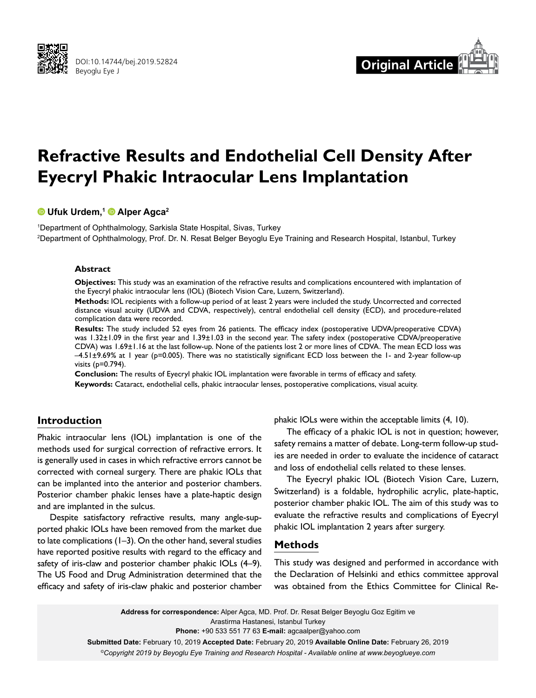



# **Refractive Results and Endothelial Cell Density After Eyecryl Phakic Intraocular Lens Implantation**

# **Ufuk Urdem,1Alper Agca2**

1 Department of Ophthalmology, Sarkisla State Hospital, Sivas, Turkey 2 Department of Ophthalmology, Prof. Dr. N. Resat Belger Beyoglu Eye Training and Research Hospital, Istanbul, Turkey

#### **Abstract**

**Objectives:** This study was an examination of the refractive results and complications encountered with implantation of the Eyecryl phakic intraocular lens (IOL) (Biotech Vision Care, Luzern, Switzerland).

**Methods:** IOL recipients with a follow-up period of at least 2 years were included the study. Uncorrected and corrected distance visual acuity (UDVA and CDVA, respectively), central endothelial cell density (ECD), and procedure-related complication data were recorded.

**Results:** The study included 52 eyes from 26 patients. The efficacy index (postoperative UDVA/preoperative CDVA) was 1.32±1.09 in the first year and 1.39±1.03 in the second year. The safety index (postoperative CDVA/preoperative CDVA) was 1.69±1.16 at the last follow-up. None of the patients lost 2 or more lines of CDVA. The mean ECD loss was –4.51±9.69% at 1 year (p=0.005). There was no statistically significant ECD loss between the 1- and 2-year follow-up visits (p=0.794).

**Conclusion:** The results of Eyecryl phakic IOL implantation were favorable in terms of efficacy and safety. **Keywords:** Cataract, endothelial cells, phakic intraocular lenses, postoperative complications, visual acuity.

# **Introduction**

Phakic intraocular lens (IOL) implantation is one of the methods used for surgical correction of refractive errors. It is generally used in cases in which refractive errors cannot be corrected with corneal surgery. There are phakic IOLs that can be implanted into the anterior and posterior chambers. Posterior chamber phakic lenses have a plate-haptic design and are implanted in the sulcus.

Despite satisfactory refractive results, many angle-supported phakic IOLs have been removed from the market due to late complications (1–3). On the other hand, several studies have reported positive results with regard to the efficacy and safety of iris-claw and posterior chamber phakic IOLs (4-9). The US Food and Drug Administration determined that the efficacy and safety of iris-claw phakic and posterior chamber

phakic IOLs were within the acceptable limits (4, 10).

The efficacy of a phakic IOL is not in question; however, safety remains a matter of debate. Long-term follow-up studies are needed in order to evaluate the incidence of cataract and loss of endothelial cells related to these lenses.

The Eyecryl phakic IOL (Biotech Vision Care, Luzern, Switzerland) is a foldable, hydrophilic acrylic, plate-haptic, posterior chamber phakic IOL. The aim of this study was to evaluate the refractive results and complications of Eyecryl phakic IOL implantation 2 years after surgery.

# **Methods**

This study was designed and performed in accordance with the Declaration of Helsinki and ethics committee approval was obtained from the Ethics Committee for Clinical Re-

**Address for correspondence:** Alper Agca, MD. Prof. Dr. Resat Belger Beyoglu Goz Egitim ve Arastirma Hastanesi, Istanbul Turkey **Phone:** +90 533 551 77 63 **E-mail:** agcaalper@yahoo.com **Submitted Date:** February 10, 2019 **Accepted Date:** February 20, 2019 **Available Online Date:** February 26, 2019 *©Copyright 2019 by Beyoglu Eye Training and Research Hospital - Available online at www.beyoglueye.com*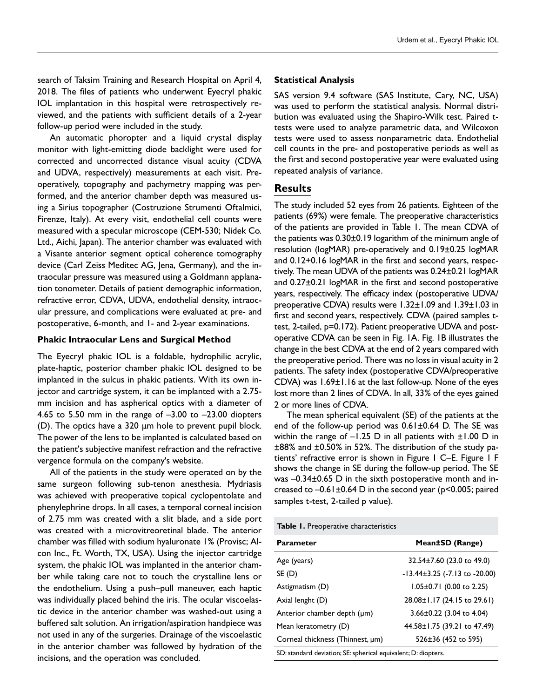search of Taksim Training and Research Hospital on April 4, 2018. The files of patients who underwent Eyecryl phakic IOL implantation in this hospital were retrospectively reviewed, and the patients with sufficient details of a 2-year follow-up period were included in the study.

An automatic phoropter and a liquid crystal display monitor with light-emitting diode backlight were used for corrected and uncorrected distance visual acuity (CDVA and UDVA, respectively) measurements at each visit. Preoperatively, topography and pachymetry mapping was performed, and the anterior chamber depth was measured using a Sirius topographer (Costruzione Strumenti Oftalmici, Firenze, Italy). At every visit, endothelial cell counts were measured with a specular microscope (CEM-530; Nidek Co. Ltd., Aichi, Japan). The anterior chamber was evaluated with a Visante anterior segment optical coherence tomography device (Carl Zeiss Meditec AG, Jena, Germany), and the intraocular pressure was measured using a Goldmann applanation tonometer. Details of patient demographic information, refractive error, CDVA, UDVA, endothelial density, intraocular pressure, and complications were evaluated at pre- and postoperative, 6-month, and 1- and 2-year examinations.

#### **Phakic Intraocular Lens and Surgical Method**

The Eyecryl phakic IOL is a foldable, hydrophilic acrylic, plate-haptic, posterior chamber phakic IOL designed to be implanted in the sulcus in phakic patients. With its own injector and cartridge system, it can be implanted with a 2.75 mm incision and has aspherical optics with a diameter of 4.65 to 5.50 mm in the range of  $-3.00$  to  $-23.00$  diopters (D). The optics have a 320 µm hole to prevent pupil block. The power of the lens to be implanted is calculated based on the patient's subjective manifest refraction and the refractive vergence formula on the company's website.

All of the patients in the study were operated on by the same surgeon following sub-tenon anesthesia. Mydriasis was achieved with preoperative topical cyclopentolate and phenylephrine drops. In all cases, a temporal corneal incision of 2.75 mm was created with a slit blade, and a side port was created with a microvitreoretinal blade. The anterior chamber was filled with sodium hyaluronate 1% (Provisc; Alcon Inc., Ft. Worth, TX, USA). Using the injector cartridge system, the phakic IOL was implanted in the anterior chamber while taking care not to touch the crystalline lens or the endothelium. Using a push–pull maneuver, each haptic was individually placed behind the iris. The ocular viscoelastic device in the anterior chamber was washed-out using a buffered salt solution. An irrigation/aspiration handpiece was not used in any of the surgeries. Drainage of the viscoelastic in the anterior chamber was followed by hydration of the incisions, and the operation was concluded.

#### **Statistical Analysis**

SAS version 9.4 software (SAS Institute, Cary, NC, USA) was used to perform the statistical analysis. Normal distribution was evaluated using the Shapiro-Wilk test. Paired ttests were used to analyze parametric data, and Wilcoxon tests were used to assess nonparametric data. Endothelial cell counts in the pre- and postoperative periods as well as the first and second postoperative year were evaluated using repeated analysis of variance.

## **Results**

The study included 52 eyes from 26 patients. Eighteen of the patients (69%) were female. The preoperative characteristics of the patients are provided in Table 1. The mean CDVA of the patients was 0.30±0.19 logarithm of the minimum angle of resolution (logMAR) pre-operatively and 0.19±0.25 logMAR and 0.12+0.16 logMAR in the first and second years, respectively. The mean UDVA of the patients was 0.24±0.21 logMAR and 0.27±0.21 logMAR in the first and second postoperative years, respectively. The efficacy index (postoperative UDVA/ preoperative CDVA) results were 1.32±1.09 and 1.39±1.03 in first and second years, respectively. CDVA (paired samples ttest, 2-tailed, p=0.172). Patient preoperative UDVA and postoperative CDVA can be seen in Fig. 1A. Fig. 1B illustrates the change in the best CDVA at the end of 2 years compared with the preoperative period. There was no loss in visual acuity in 2 patients. The safety index (postoperative CDVA/preoperative CDVA) was 1.69±1.16 at the last follow-up. None of the eyes lost more than 2 lines of CDVA. In all, 33% of the eyes gained 2 or more lines of CDVA.

The mean spherical equivalent (SE) of the patients at the end of the follow-up period was 0.61±0.64 D. The SE was within the range of  $-1.25$  D in all patients with  $\pm 1.00$  D in ±88% and ±0.50% in 52%. The distribution of the study patients' refractive error is shown in Figure 1 C–E. Figure 1 F shows the change in SE during the follow-up period. The SE was –0.34±0.65 D in the sixth postoperative month and increased to –0.61±0.64 D in the second year (p<0.005; paired samples t-test, 2-tailed p value).

**Table 1.** Preoperative characteristics

| <b>Parameter</b>                                               | Mean±SD (Range)                         |
|----------------------------------------------------------------|-----------------------------------------|
| Age (years)                                                    | 32.54±7.60 (23.0 to 49.0)               |
| SE (D)                                                         | $-13.44\pm3.25$ ( $-7.13$ to $-20.00$ ) |
| Astigmatism (D)                                                | $1.05 \pm 0.71$ (0.00 to 2.25)          |
| Axial lenght (D)                                               | 28.08±1.17 (24.15 to 29.61)             |
| Anterior chamber depth (µm)                                    | $3.66 \pm 0.22$ (3.04 to 4.04)          |
| Mean keratometry (D)                                           | 44.58±1.75 (39.21 to 47.49)             |
| Corneal thickness (Thinnest, µm)                               | 526±36 (452 to 595)                     |
| SD: standard deviation; SE: spherical equivalent; D: diopters. |                                         |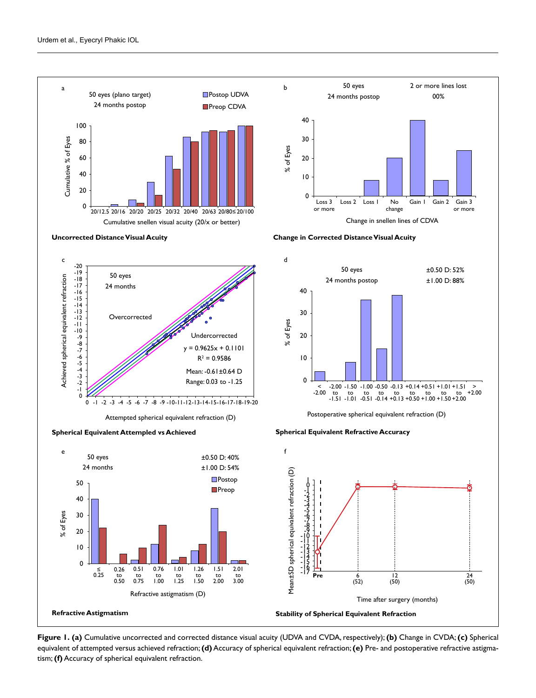

**Figure 1. (a)** Cumulative uncorrected and corrected distance visual acuity (UDVA and CVDA, respectively); **(b)** Change in CVDA; **(c)** Spherical equivalent of attempted versus achieved refraction; **(d)** Accuracy of spherical equivalent refraction; **(e)** Pre- and postoperative refractive astigma-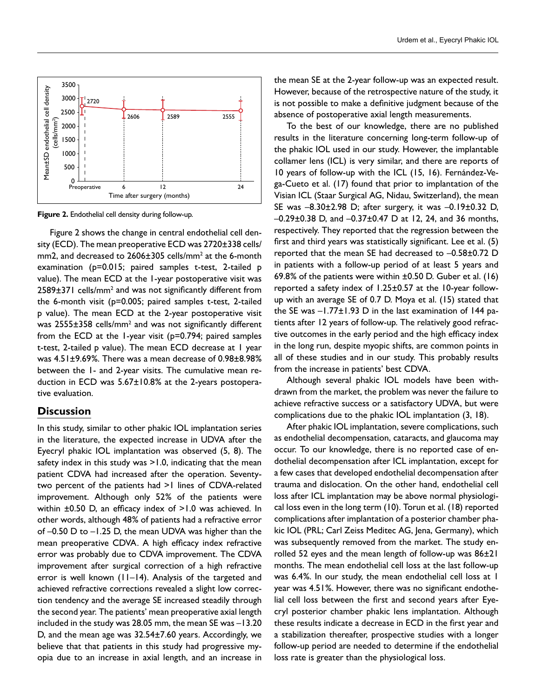

**Figure 2.** Endothelial cell density during follow-up.

Figure 2 shows the change in central endothelial cell density (ECD). The mean preoperative ECD was 2720±338 cells/ mm2, and decreased to 2606±305 cells/mm<sup>2</sup> at the 6-month examination (p=0.015; paired samples t-test, 2-tailed p value). The mean ECD at the 1-year postoperative visit was  $2589\pm371$  cells/mm<sup>2</sup> and was not significantly different from the 6-month visit (p=0.005; paired samples t-test, 2-tailed p value). The mean ECD at the 2-year postoperative visit was  $2555\pm358$  cells/mm<sup>2</sup> and was not significantly different from the ECD at the 1-year visit (p=0.794; paired samples t-test, 2-tailed p value). The mean ECD decrease at 1 year was 4.51±9.69%. There was a mean decrease of 0.98±8.98% between the 1- and 2-year visits. The cumulative mean reduction in ECD was 5.67±10.8% at the 2-years postoperative evaluation.

## **Discussion**

In this study, similar to other phakic IOL implantation series in the literature, the expected increase in UDVA after the Eyecryl phakic IOL implantation was observed (5, 8). The safety index in this study was >1.0, indicating that the mean patient CDVA had increased after the operation. Seventytwo percent of the patients had >1 lines of CDVA-related improvement. Although only 52% of the patients were within ±0.50 D, an efficacy index of >1.0 was achieved. In other words, although 48% of patients had a refractive error of –0.50 D to –1.25 D, the mean UDVA was higher than the mean preoperative CDVA. A high efficacy index refractive error was probably due to CDVA improvement. The CDVA improvement after surgical correction of a high refractive error is well known (11–14). Analysis of the targeted and achieved refractive corrections revealed a slight low correction tendency and the average SE increased steadily through the second year. The patients' mean preoperative axial length included in the study was 28.05 mm, the mean SE was –13.20 D, and the mean age was 32.54±7.60 years. Accordingly, we believe that that patients in this study had progressive myopia due to an increase in axial length, and an increase in

the mean SE at the 2-year follow-up was an expected result. However, because of the retrospective nature of the study, it is not possible to make a definitive judgment because of the absence of postoperative axial length measurements.

To the best of our knowledge, there are no published results in the literature concerning long-term follow-up of the phakic IOL used in our study. However, the implantable collamer lens (ICL) is very similar, and there are reports of 10 years of follow-up with the ICL (15, 16). Fernández-Vega-Cueto et al. (17) found that prior to implantation of the Visian ICL (Staar Surgical AG, Nidau, Switzerland), the mean SE was –8.30±2.98 D; after surgery, it was –0.19±0.32 D, –0.29±0.38 D, and –0.37±0.47 D at 12, 24, and 36 months, respectively. They reported that the regression between the first and third years was statistically significant. Lee et al. (5) reported that the mean SE had decreased to –0.58±0.72 D in patients with a follow-up period of at least 5 years and 69.8% of the patients were within ±0.50 D. Guber et al. (16) reported a safety index of 1.25±0.57 at the 10-year followup with an average SE of 0.7 D. Moya et al. (15) stated that the SE was –1.77±1.93 D in the last examination of 144 patients after 12 years of follow-up. The relatively good refractive outcomes in the early period and the high efficacy index in the long run, despite myopic shifts, are common points in all of these studies and in our study. This probably results from the increase in patients' best CDVA.

Although several phakic IOL models have been withdrawn from the market, the problem was never the failure to achieve refractive success or a satisfactory UDVA, but were complications due to the phakic IOL implantation (3, 18).

After phakic IOL implantation, severe complications, such as endothelial decompensation, cataracts, and glaucoma may occur. To our knowledge, there is no reported case of endothelial decompensation after ICL implantation, except for a few cases that developed endothelial decompensation after trauma and dislocation. On the other hand, endothelial cell loss after ICL implantation may be above normal physiological loss even in the long term (10). Torun et al. (18) reported complications after implantation of a posterior chamber phakic IOL (PRL; Carl Zeiss Meditec AG, Jena, Germany), which was subsequently removed from the market. The study enrolled 52 eyes and the mean length of follow-up was 86±21 months. The mean endothelial cell loss at the last follow-up was 6.4%. In our study, the mean endothelial cell loss at 1 year was 4.51%. However, there was no significant endothelial cell loss between the first and second years after Eyecryl posterior chamber phakic lens implantation. Although these results indicate a decrease in ECD in the first year and a stabilization thereafter, prospective studies with a longer follow-up period are needed to determine if the endothelial loss rate is greater than the physiological loss.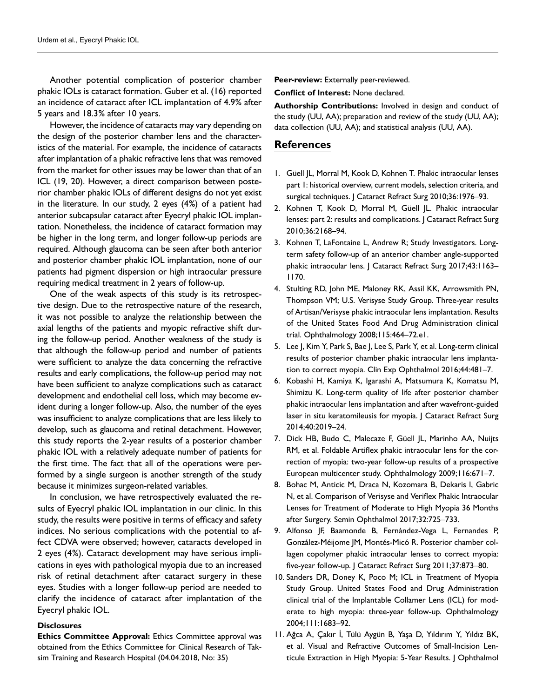Another potential complication of posterior chamber phakic IOLs is cataract formation. Guber et al. (16) reported an incidence of cataract after ICL implantation of 4.9% after 5 years and 18.3% after 10 years.

However, the incidence of cataracts may vary depending on the design of the posterior chamber lens and the characteristics of the material. For example, the incidence of cataracts after implantation of a phakic refractive lens that was removed from the market for other issues may be lower than that of an ICL (19, 20). However, a direct comparison between posterior chamber phakic IOLs of different designs do not yet exist in the literature. In our study, 2 eyes (4%) of a patient had anterior subcapsular cataract after Eyecryl phakic IOL implantation. Nonetheless, the incidence of cataract formation may be higher in the long term, and longer follow-up periods are required. Although glaucoma can be seen after both anterior and posterior chamber phakic IOL implantation, none of our patients had pigment dispersion or high intraocular pressure requiring medical treatment in 2 years of follow-up.

One of the weak aspects of this study is its retrospective design. Due to the retrospective nature of the research, it was not possible to analyze the relationship between the axial lengths of the patients and myopic refractive shift during the follow-up period. Another weakness of the study is that although the follow-up period and number of patients were sufficient to analyze the data concerning the refractive results and early complications, the follow-up period may not have been sufficient to analyze complications such as cataract development and endothelial cell loss, which may become evident during a longer follow-up. Also, the number of the eyes was insufficient to analyze complications that are less likely to develop, such as glaucoma and retinal detachment. However, this study reports the 2-year results of a posterior chamber phakic IOL with a relatively adequate number of patients for the first time. The fact that all of the operations were performed by a single surgeon is another strength of the study because it minimizes surgeon-related variables.

In conclusion, we have retrospectively evaluated the results of Eyecryl phakic IOL implantation in our clinic. In this study, the results were positive in terms of efficacy and safety indices. No serious complications with the potential to affect CDVA were observed; however, cataracts developed in 2 eyes (4%). Cataract development may have serious implications in eyes with pathological myopia due to an increased risk of retinal detachment after cataract surgery in these eyes. Studies with a longer follow-up period are needed to clarify the incidence of cataract after implantation of the Eyecryl phakic IOL.

#### **Disclosures**

**Ethics Committee Approval:** Ethics Committee approval was obtained from the Ethics Committee for Clinical Research of Taksim Training and Research Hospital (04.04.2018, No: 35)

**Peer-review:** Externally peer-reviewed.

**Conflict of Interest:** None declared.

**Authorship Contributions:** Involved in design and conduct of the study (UU, AA); preparation and review of the study (UU, AA); data collection (UU, AA); and statistical analysis (UU, AA).

## **References**

- 1. Güell JL, Morral M, Kook D, Kohnen T. Phakic intraocular lenses part 1: historical overview, current models, selection criteria, and surgical techniques. | Cataract Refract Surg 2010;36:1976-93.
- 2. Kohnen T, Kook D, Morral M, Güell JL. Phakic intraocular lenses: part 2: results and complications. | Cataract Refract Surg 2010;36:2168–94.
- 3. Kohnen T, LaFontaine L, Andrew R; Study Investigators. Longterm safety follow-up of an anterior chamber angle-supported phakic intraocular lens. J Cataract Refract Surg 2017;43:1163-1170.
- 4. Stulting RD, John ME, Maloney RK, Assil KK, Arrowsmith PN, Thompson VM; U.S. Verisyse Study Group. Three-year results of Artisan/Verisyse phakic intraocular lens implantation. Results of the United States Food And Drug Administration clinical trial. Ophthalmology 2008;115:464–72.e1.
- 5. Lee J, Kim Y, Park S, Bae J, Lee S, Park Y, et al. Long-term clinical results of posterior chamber phakic intraocular lens implantation to correct myopia. Clin Exp Ophthalmol 2016;44:481–7.
- 6. Kobashi H, Kamiya K, Igarashi A, Matsumura K, Komatsu M, Shimizu K. Long-term quality of life after posterior chamber phakic intraocular lens implantation and after wavefront-guided laser in situ keratomileusis for myopia. J Cataract Refract Surg 2014;40:2019–24.
- 7. Dick HB, Budo C, Malecaze F, Güell JL, Marinho AA, Nuijts RM, et al. Foldable Artiflex phakic intraocular lens for the correction of myopia: two-year follow-up results of a prospective European multicenter study. Ophthalmology 2009;116:671–7.
- 8. Bohac M, Anticic M, Draca N, Kozomara B, Dekaris I, Gabric N, et al. Comparison of Verisyse and Veriflex Phakic Intraocular Lenses for Treatment of Moderate to High Myopia 36 Months after Surgery. Semin Ophthalmol 2017;32:725–733.
- 9. Alfonso JF, Baamonde B, Fernández-Vega L, Fernandes P, González-Méijome JM, Montés-Micó R. Posterior chamber collagen copolymer phakic intraocular lenses to correct myopia: five-year follow-up. J Cataract Refract Surg 2011;37:873–80.
- 10. Sanders DR, Doney K, Poco M; ICL in Treatment of Myopia Study Group. United States Food and Drug Administration clinical trial of the Implantable Collamer Lens (ICL) for moderate to high myopia: three-year follow-up. Ophthalmology 2004;111:1683–92.
- 11. Ağca A, Çakır İ, Tülü Aygün B, Yaşa D, Yıldırım Y, Yıldız BK, et al. Visual and Refractive Outcomes of Small-Incision Lenticule Extraction in High Myopia: 5-Year Results. J Ophthalmol